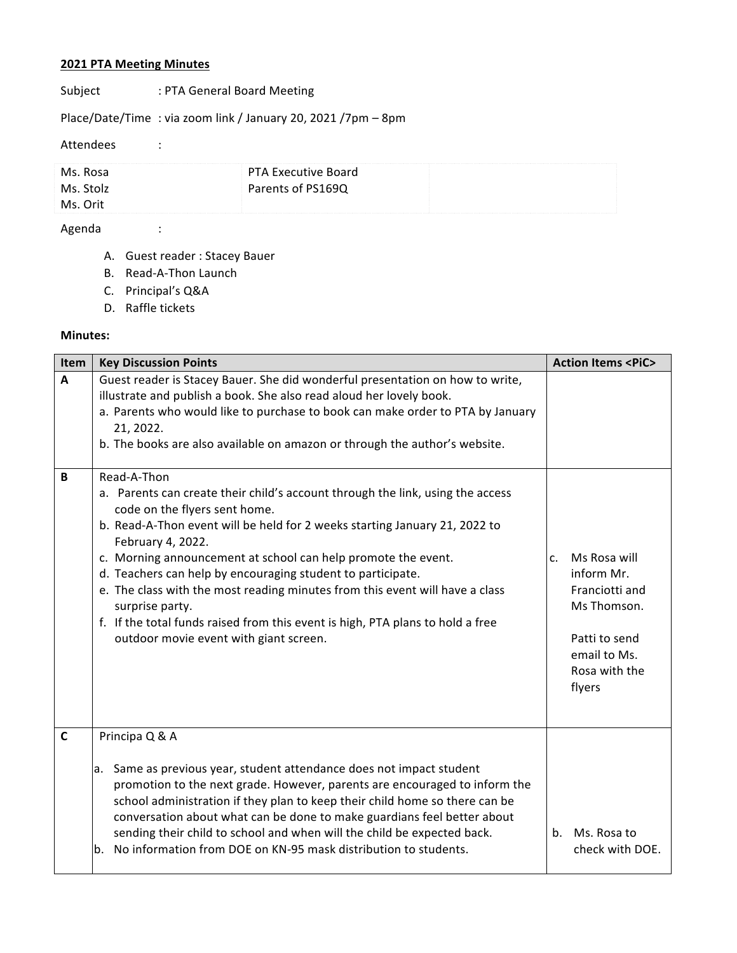## **2021 PTA Meeting Minutes**

# Subject : PTA General Board Meeting

Place/Date/Time : via zoom link / January 20, 2021 /7pm - 8pm

#### Attendees :

| Ms. Rosa  | <b>PTA Executive Board</b> |  |
|-----------|----------------------------|--|
| Ms. Stolz | Parents of PS169Q          |  |
| Ms. Orit  |                            |  |

### Agenda :

- A. Guest reader : Stacey Bauer
- B. Read-A-Thon Launch
- C. Principal's Q&A
- D. Raffle tickets

#### **Minutes:**

| Item         | <b>Key Discussion Points</b>                                                                                                                                                                                                                                                                                                                                                                                                                                                                                                                                                                     | <b>Action Items <pic></pic></b>                                                                                               |
|--------------|--------------------------------------------------------------------------------------------------------------------------------------------------------------------------------------------------------------------------------------------------------------------------------------------------------------------------------------------------------------------------------------------------------------------------------------------------------------------------------------------------------------------------------------------------------------------------------------------------|-------------------------------------------------------------------------------------------------------------------------------|
| $\mathbf{A}$ | Guest reader is Stacey Bauer. She did wonderful presentation on how to write,<br>illustrate and publish a book. She also read aloud her lovely book.<br>a. Parents who would like to purchase to book can make order to PTA by January<br>21, 2022.<br>b. The books are also available on amazon or through the author's website.                                                                                                                                                                                                                                                                |                                                                                                                               |
| B            | Read-A-Thon<br>a. Parents can create their child's account through the link, using the access<br>code on the flyers sent home.<br>b. Read-A-Thon event will be held for 2 weeks starting January 21, 2022 to<br>February 4, 2022.<br>c. Morning announcement at school can help promote the event.<br>d. Teachers can help by encouraging student to participate.<br>e. The class with the most reading minutes from this event will have a class<br>surprise party.<br>f. If the total funds raised from this event is high, PTA plans to hold a free<br>outdoor movie event with giant screen. | Ms Rosa will<br>c.<br>inform Mr.<br>Franciotti and<br>Ms Thomson.<br>Patti to send<br>email to Ms.<br>Rosa with the<br>flyers |
| $\mathbf c$  | Principa Q & A<br>Same as previous year, student attendance does not impact student<br>а.<br>promotion to the next grade. However, parents are encouraged to inform the<br>school administration if they plan to keep their child home so there can be<br>conversation about what can be done to make guardians feel better about<br>sending their child to school and when will the child be expected back.<br>No information from DOE on KN-95 mask distribution to students.<br>b.                                                                                                            | Ms. Rosa to<br>$h_{-}$<br>check with DOE.                                                                                     |